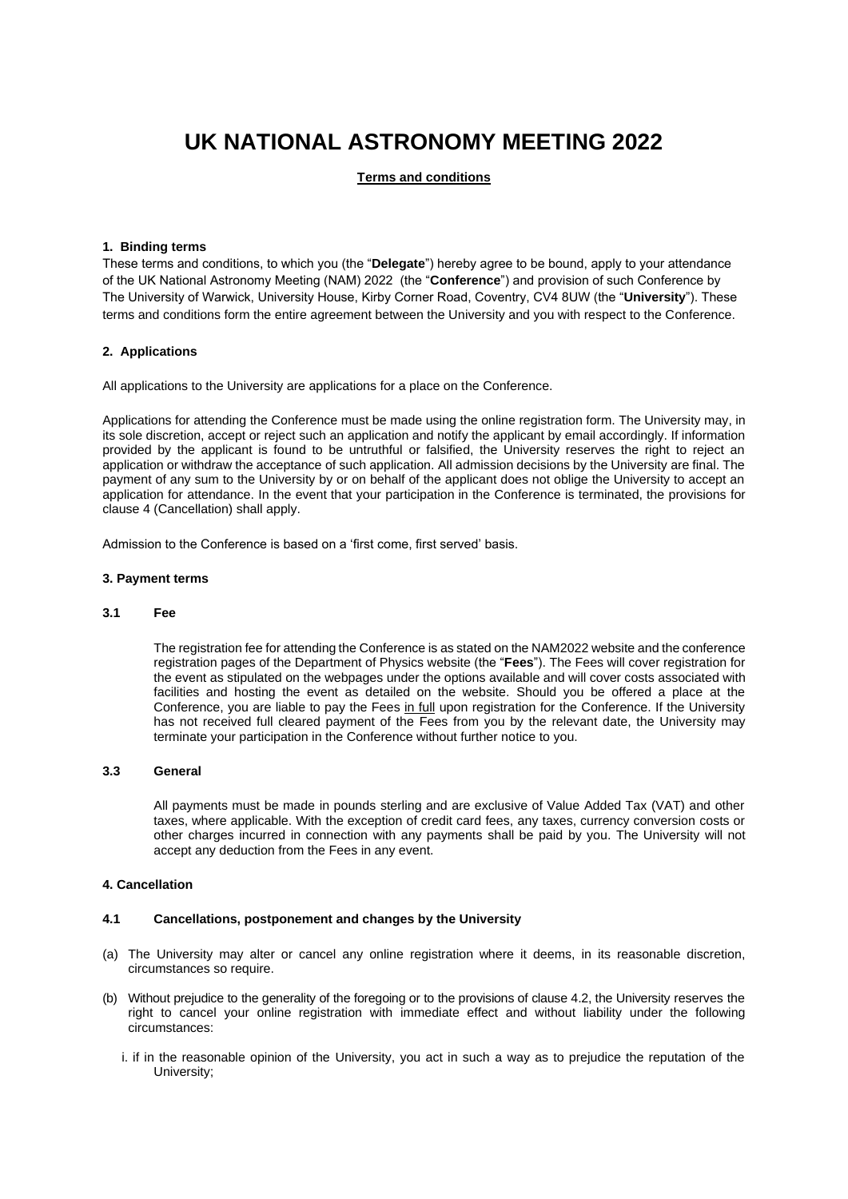# **UK NATIONAL ASTRONOMY MEETING 2022**

# **Terms and conditions**

# **1. Binding terms**

These terms and conditions, to which you (the "**Delegate**") hereby agree to be bound, apply to your attendance of the UK National Astronomy Meeting (NAM) 2022 (the "**Conference**") and provision of such Conference by The University of Warwick, University House, Kirby Corner Road, Coventry, CV4 8UW (the "**University**"). These terms and conditions form the entire agreement between the University and you with respect to the Conference.

# **2. Applications**

All applications to the University are applications for a place on the Conference.

Applications for attending the Conference must be made using the online registration form. The University may, in its sole discretion, accept or reject such an application and notify the applicant by email accordingly. If information provided by the applicant is found to be untruthful or falsified, the University reserves the right to reject an application or withdraw the acceptance of such application. All admission decisions by the University are final. The payment of any sum to the University by or on behalf of the applicant does not oblige the University to accept an application for attendance. In the event that your participation in the Conference is terminated, the provisions for clause 4 (Cancellation) shall apply.

Admission to the Conference is based on a 'first come, first served' basis.

#### **3. Payment terms**

# **3.1 Fee**

The registration fee for attending the Conference is as stated on the NAM2022 website and the conference registration pages of the Department of Physics website (the "**Fees**"). The Fees will cover registration for the event as stipulated on the webpages under the options available and will cover costs associated with facilities and hosting the event as detailed on the website. Should you be offered a place at the Conference, you are liable to pay the Fees in full upon registration for the Conference. If the University has not received full cleared payment of the Fees from you by the relevant date, the University may terminate your participation in the Conference without further notice to you.

#### **3.3 General**

All payments must be made in pounds sterling and are exclusive of Value Added Tax (VAT) and other taxes, where applicable. With the exception of credit card fees, any taxes, currency conversion costs or other charges incurred in connection with any payments shall be paid by you. The University will not accept any deduction from the Fees in any event.

# **4. Cancellation**

#### **4.1 Cancellations, postponement and changes by the University**

- (a) The University may alter or cancel any online registration where it deems, in its reasonable discretion, circumstances so require.
- (b) Without prejudice to the generality of the foregoing or to the provisions of clause 4.2, the University reserves the right to cancel your online registration with immediate effect and without liability under the following circumstances:
	- i. if in the reasonable opinion of the University, you act in such a way as to prejudice the reputation of the University;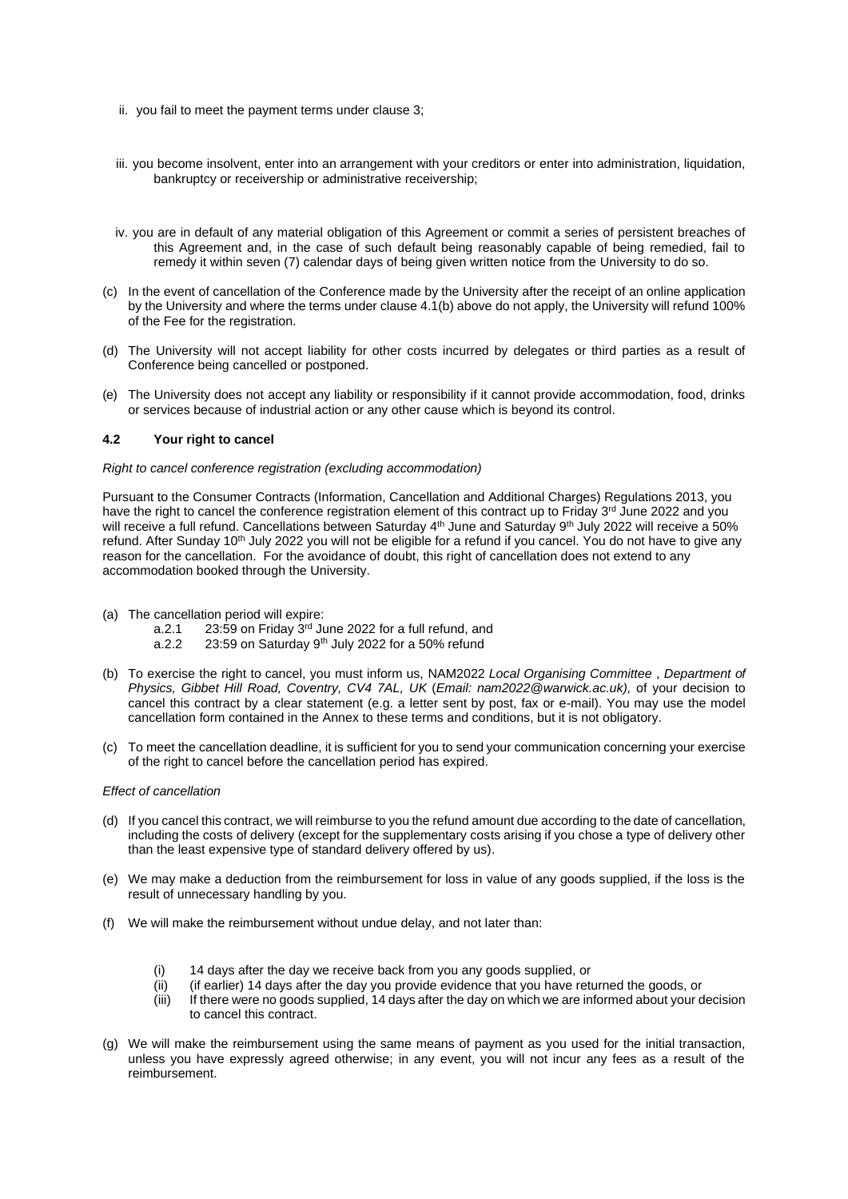- ii. you fail to meet the payment terms under clause 3;
- iii. you become insolvent, enter into an arrangement with your creditors or enter into administration, liquidation, bankruptcy or receivership or administrative receivership;
- iv. you are in default of any material obligation of this Agreement or commit a series of persistent breaches of this Agreement and, in the case of such default being reasonably capable of being remedied, fail to remedy it within seven (7) calendar days of being given written notice from the University to do so.
- (c) In the event of cancellation of the Conference made by the University after the receipt of an online application by the University and where the terms under clause 4.1(b) above do not apply, the University will refund 100% of the Fee for the registration.
- (d) The University will not accept liability for other costs incurred by delegates or third parties as a result of Conference being cancelled or postponed.
- (e) The University does not accept any liability or responsibility if it cannot provide accommodation, food, drinks or services because of industrial action or any other cause which is beyond its control.

# **4.2 Your right to cancel**

#### *Right to cancel conference registration (excluding accommodation)*

Pursuant to the Consumer Contracts (Information, Cancellation and Additional Charges) Regulations 2013, you have the right to cancel the conference registration element of this contract up to Friday 3<sup>rd</sup> June 2022 and you will receive a full refund. Cancellations between Saturday 4<sup>th</sup> June and Saturday 9<sup>th</sup> July 2022 will receive a 50% refund. After Sunday 10<sup>th</sup> July 2022 you will not be eligible for a refund if you cancel. You do not have to give any reason for the cancellation. For the avoidance of doubt, this right of cancellation does not extend to any accommodation booked through the University.

- (a) The cancellation period will expire:
	- a.2.1 23:59 on Friday 3rd June 2022 for a full refund, and
	- a.2.2  $23:59$  on Saturday 9<sup>th</sup> July 2022 for a 50% refund
- (b) To exercise the right to cancel, you must inform us, NAM2022 *Local Organising Committee* , *Department of Physics, Gibbet Hill Road, Coventry, CV4 7AL, UK* (*Email: nam2022@warwick.ac.uk),* of your decision to cancel this contract by a clear statement (e.g. a letter sent by post, fax or e-mail). You may use the model cancellation form contained in the Annex to these terms and conditions, but it is not obligatory.
- (c) To meet the cancellation deadline, it is sufficient for you to send your communication concerning your exercise of the right to cancel before the cancellation period has expired.

#### *Effect of cancellation*

- (d) If you cancel this contract, we will reimburse to you the refund amount due according to the date of cancellation, including the costs of delivery (except for the supplementary costs arising if you chose a type of delivery other than the least expensive type of standard delivery offered by us).
- (e) We may make a deduction from the reimbursement for loss in value of any goods supplied, if the loss is the result of unnecessary handling by you.
- (f) We will make the reimbursement without undue delay, and not later than:
	- (i) 14 days after the day we receive back from you any goods supplied, or
	- (ii) (if earlier) 14 days after the day you provide evidence that you have returned the goods, or
	- (iii) If there were no goods supplied, 14 days after the day on which we are informed about your decision to cancel this contract.
- (g) We will make the reimbursement using the same means of payment as you used for the initial transaction, unless you have expressly agreed otherwise; in any event, you will not incur any fees as a result of the reimbursement.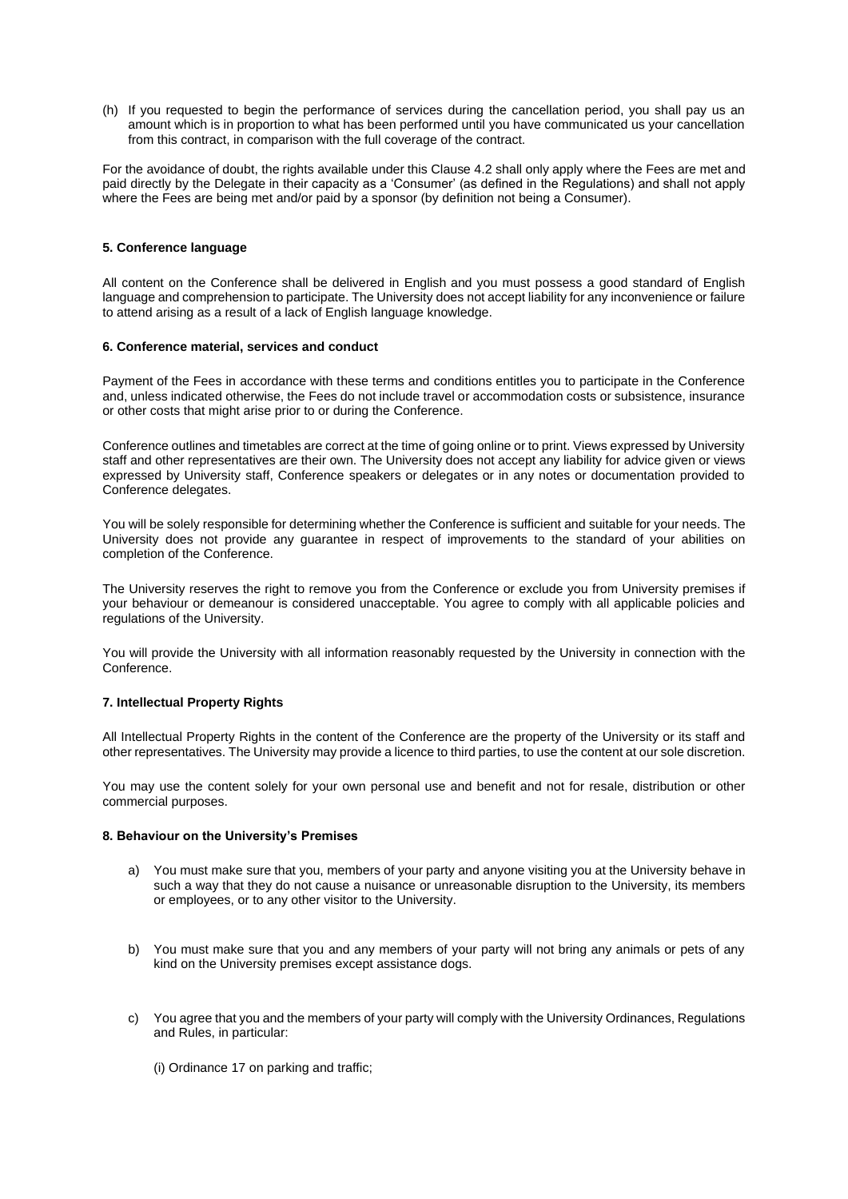(h) If you requested to begin the performance of services during the cancellation period, you shall pay us an amount which is in proportion to what has been performed until you have communicated us your cancellation from this contract, in comparison with the full coverage of the contract.

For the avoidance of doubt, the rights available under this Clause 4.2 shall only apply where the Fees are met and paid directly by the Delegate in their capacity as a 'Consumer' (as defined in the Regulations) and shall not apply where the Fees are being met and/or paid by a sponsor (by definition not being a Consumer).

# **5. Conference language**

All content on the Conference shall be delivered in English and you must possess a good standard of English language and comprehension to participate. The University does not accept liability for any inconvenience or failure to attend arising as a result of a lack of English language knowledge.

#### **6. Conference material, services and conduct**

Payment of the Fees in accordance with these terms and conditions entitles you to participate in the Conference and, unless indicated otherwise, the Fees do not include travel or accommodation costs or subsistence, insurance or other costs that might arise prior to or during the Conference.

Conference outlines and timetables are correct at the time of going online or to print. Views expressed by University staff and other representatives are their own. The University does not accept any liability for advice given or views expressed by University staff, Conference speakers or delegates or in any notes or documentation provided to Conference delegates.

You will be solely responsible for determining whether the Conference is sufficient and suitable for your needs. The University does not provide any guarantee in respect of improvements to the standard of your abilities on completion of the Conference.

The University reserves the right to remove you from the Conference or exclude you from University premises if your behaviour or demeanour is considered unacceptable. You agree to comply with all applicable policies and regulations of the University.

You will provide the University with all information reasonably requested by the University in connection with the Conference.

#### **7. Intellectual Property Rights**

All Intellectual Property Rights in the content of the Conference are the property of the University or its staff and other representatives. The University may provide a licence to third parties, to use the content at our sole discretion.

You may use the content solely for your own personal use and benefit and not for resale, distribution or other commercial purposes.

# **8. Behaviour on the University's Premises**

- a) You must make sure that you, members of your party and anyone visiting you at the University behave in such a way that they do not cause a nuisance or unreasonable disruption to the University, its members or employees, or to any other visitor to the University.
- b) You must make sure that you and any members of your party will not bring any animals or pets of any kind on the University premises except assistance dogs.
- c) You agree that you and the members of your party will comply with the University Ordinances, Regulations and Rules, in particular:
	- (i) Ordinance 17 on parking and traffic;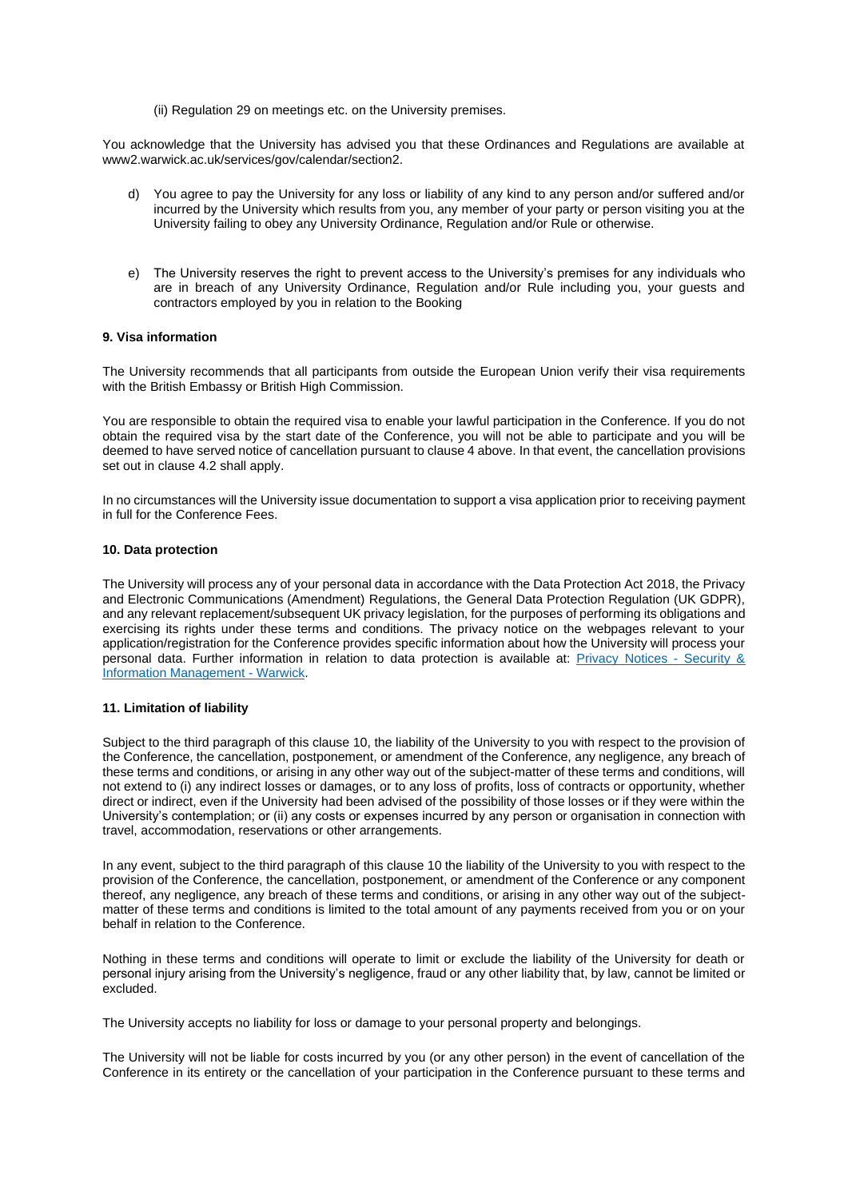(ii) Regulation 29 on meetings etc. on the University premises.

You acknowledge that the University has advised you that these Ordinances and Regulations are available at [www2.warwick.ac.uk/services/gov/calendar/section2.](http://www2.warwick.ac.uk/services/gov/calendar/section2)

- d) You agree to pay the University for any loss or liability of any kind to any person and/or suffered and/or incurred by the University which results from you, any member of your party or person visiting you at the University failing to obey any University Ordinance, Regulation and/or Rule or otherwise.
- e) The University reserves the right to prevent access to the University's premises for any individuals who are in breach of any University Ordinance, Regulation and/or Rule including you, your guests and contractors employed by you in relation to the Booking

# **9. Visa information**

The University recommends that all participants from outside the European Union verify their visa requirements with the British Embassy or British High Commission.

You are responsible to obtain the required visa to enable your lawful participation in the Conference. If you do not obtain the required visa by the start date of the Conference, you will not be able to participate and you will be deemed to have served notice of cancellation pursuant to clause 4 above. In that event, the cancellation provisions set out in clause 4.2 shall apply.

In no circumstances will the University issue documentation to support a visa application prior to receiving payment in full for the Conference Fees.

#### **10. Data protection**

The University will process any of your personal data in accordance with the Data Protection Act 2018, the Privacy and Electronic Communications (Amendment) Regulations, the General Data Protection Regulation (UK GDPR), and any relevant replacement/subsequent UK privacy legislation, for the purposes of performing its obligations and exercising its rights under these terms and conditions. The privacy notice on the webpages relevant to your application/registration for the Conference provides specific information about how the University will process your personal data. Further information in relation to data protection is available at: [Privacy Notices -](https://warwick.ac.uk/services/legalandcomplianceservices/dataprotection/privacynotices/) Security & [Information Management -](https://warwick.ac.uk/services/legalandcomplianceservices/dataprotection/privacynotices/) Warwick.

# **11. Limitation of liability**

Subject to the third paragraph of this clause 10, the liability of the University to you with respect to the provision of the Conference, the cancellation, postponement, or amendment of the Conference, any negligence, any breach of these terms and conditions, or arising in any other way out of the subject-matter of these terms and conditions, will not extend to (i) any indirect losses or damages, or to any loss of profits, loss of contracts or opportunity, whether direct or indirect, even if the University had been advised of the possibility of those losses or if they were within the University's contemplation; or (ii) any costs or expenses incurred by any person or organisation in connection with travel, accommodation, reservations or other arrangements.

In any event, subject to the third paragraph of this clause 10 the liability of the University to you with respect to the provision of the Conference, the cancellation, postponement, or amendment of the Conference or any component thereof, any negligence, any breach of these terms and conditions, or arising in any other way out of the subjectmatter of these terms and conditions is limited to the total amount of any payments received from you or on your behalf in relation to the Conference.

Nothing in these terms and conditions will operate to limit or exclude the liability of the University for death or personal injury arising from the University's negligence, fraud or any other liability that, by law, cannot be limited or excluded.

The University accepts no liability for loss or damage to your personal property and belongings.

The University will not be liable for costs incurred by you (or any other person) in the event of cancellation of the Conference in its entirety or the cancellation of your participation in the Conference pursuant to these terms and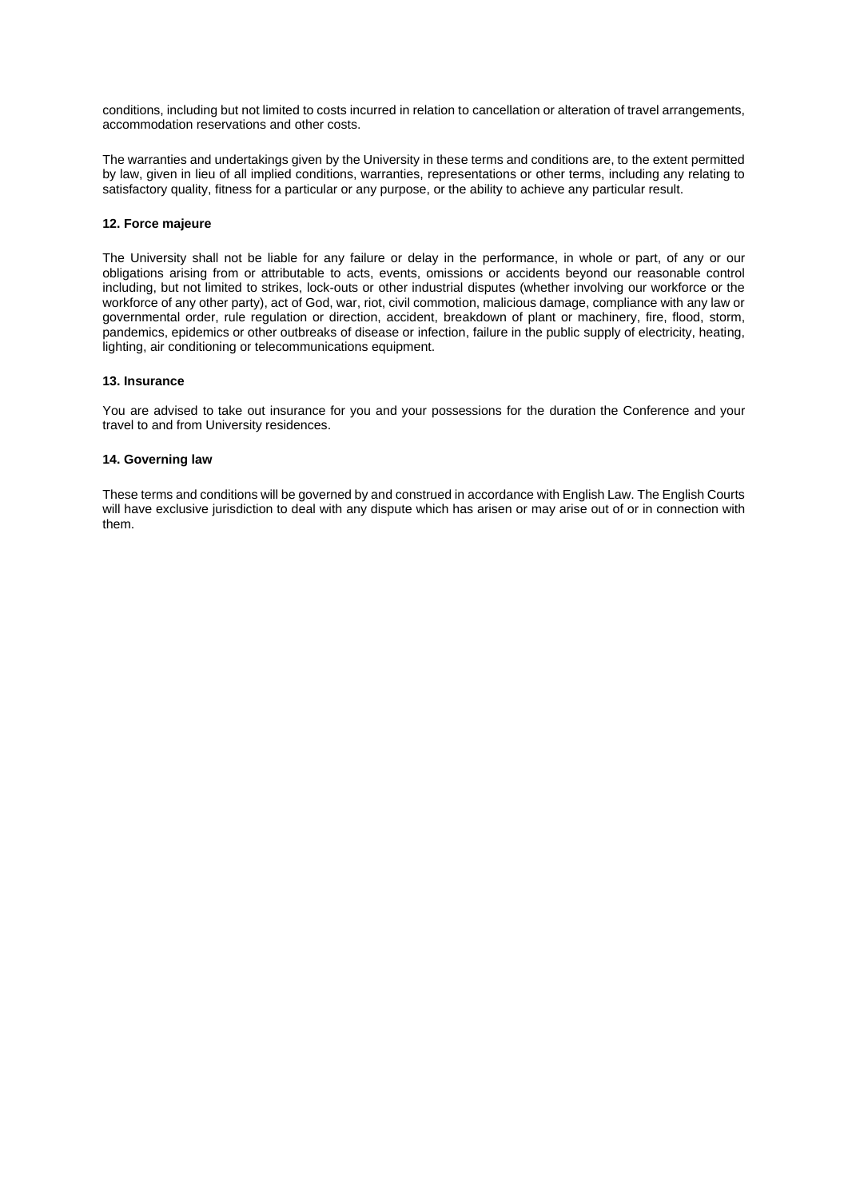conditions, including but not limited to costs incurred in relation to cancellation or alteration of travel arrangements, accommodation reservations and other costs.

The warranties and undertakings given by the University in these terms and conditions are, to the extent permitted by law, given in lieu of all implied conditions, warranties, representations or other terms, including any relating to satisfactory quality, fitness for a particular or any purpose, or the ability to achieve any particular result.

#### **12. Force majeure**

The University shall not be liable for any failure or delay in the performance, in whole or part, of any or our obligations arising from or attributable to acts, events, omissions or accidents beyond our reasonable control including, but not limited to strikes, lock-outs or other industrial disputes (whether involving our workforce or the workforce of any other party), act of God, war, riot, civil commotion, malicious damage, compliance with any law or governmental order, rule regulation or direction, accident, breakdown of plant or machinery, fire, flood, storm, pandemics, epidemics or other outbreaks of disease or infection, failure in the public supply of electricity, heating, lighting, air conditioning or telecommunications equipment.

#### **13. Insurance**

You are advised to take out insurance for you and your possessions for the duration the Conference and your travel to and from University residences.

# **14. Governing law**

These terms and conditions will be governed by and construed in accordance with English Law. The English Courts will have exclusive jurisdiction to deal with any dispute which has arisen or may arise out of or in connection with them.